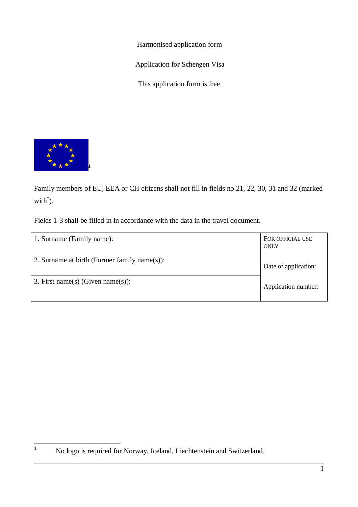Harmonised application form

Application for Schengen Visa

This application form is free



Family members of EU, EEA or CH citizens shall not fill in fields no.21, 22, 30, 31 and 32 (marked with **\*** ).

Fields 1-3 shall be filled in in accordance with the data in the travel document.

| 1. Surname (Family name):                    | FOR OFFICIAL USE<br>ONLY |
|----------------------------------------------|--------------------------|
| 2. Surname at birth (Former family name(s)): | Date of application:     |
| 3. First name(s) (Given name(s)):            | Application number:      |

**<sup>1</sup>** No logo is required for Norway, Iceland, Liechtenstein and Switzerland.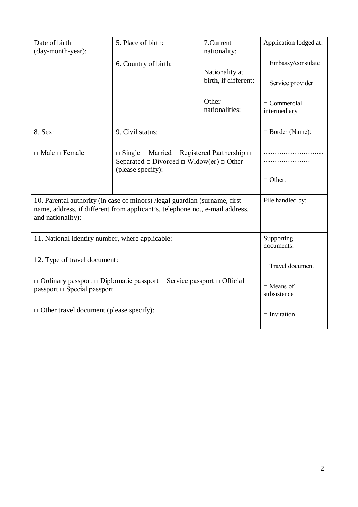| Date of birth<br>(day-month-year):                                                                                                                                               | 5. Place of birth:<br>6. Country of birth:                                                                                                        | 7.Current<br>nationality:<br>Nationality at<br>birth, if different: | Application lodged at:<br>$\Box$ Embassy/consulate<br>$\Box$ Service provider |
|----------------------------------------------------------------------------------------------------------------------------------------------------------------------------------|---------------------------------------------------------------------------------------------------------------------------------------------------|---------------------------------------------------------------------|-------------------------------------------------------------------------------|
|                                                                                                                                                                                  |                                                                                                                                                   | Other<br>nationalities:                                             | $\Box$ Commercial<br>intermediary                                             |
| 8. Sex:                                                                                                                                                                          | 9. Civil status:                                                                                                                                  |                                                                     | $\Box$ Border (Name):                                                         |
| $\Box$ Male $\Box$ Female                                                                                                                                                        | $\Box$ Single $\Box$ Married $\Box$ Registered Partnership $\Box$<br>Separated $\Box$ Divorced $\Box$ Widow(er) $\Box$ Other<br>(please specify): |                                                                     |                                                                               |
|                                                                                                                                                                                  |                                                                                                                                                   |                                                                     | $\Box$ Other:                                                                 |
| 10. Parental authority (in case of minors) / legal guardian (surname, first<br>name, address, if different from applicant's, telephone no., e-mail address,<br>and nationality): |                                                                                                                                                   |                                                                     | File handled by:                                                              |
| 11. National identity number, where applicable:                                                                                                                                  |                                                                                                                                                   |                                                                     | Supporting<br>documents:                                                      |
| 12. Type of travel document:                                                                                                                                                     |                                                                                                                                                   |                                                                     | $\Box$ Travel document                                                        |
| $\Box$ Ordinary passport $\Box$ Diplomatic passport $\Box$ Service passport $\Box$ Official<br>passport $\Box$ Special passport                                                  |                                                                                                                                                   |                                                                     | $\Box$ Means of<br>subsistence                                                |
| $\Box$ Other travel document (please specify):                                                                                                                                   |                                                                                                                                                   |                                                                     | $\Box$ Invitation                                                             |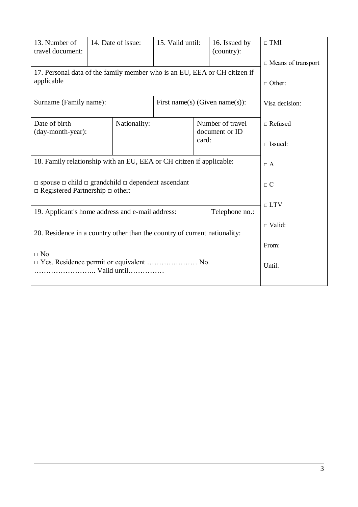| 13. Number of<br>travel document:                                                                                      | 14. Date of issue:                                       | 15. Valid until: |                | 16. Issued by<br>(country): | $\Box$ TMI                |
|------------------------------------------------------------------------------------------------------------------------|----------------------------------------------------------|------------------|----------------|-----------------------------|---------------------------|
|                                                                                                                        |                                                          |                  |                |                             | $\Box$ Means of transport |
| 17. Personal data of the family member who is an EU, EEA or CH citizen if                                              |                                                          |                  |                |                             |                           |
| applicable                                                                                                             |                                                          |                  |                |                             | $\Box$ Other:             |
|                                                                                                                        |                                                          |                  |                |                             |                           |
|                                                                                                                        | First name(s) (Given name(s)):<br>Surname (Family name): |                  | Visa decision: |                             |                           |
|                                                                                                                        |                                                          |                  |                |                             |                           |
| Date of birth                                                                                                          | Nationality:                                             |                  |                | Number of travel            | $\Box$ Refused            |
| (day-month-year):                                                                                                      |                                                          |                  | card:          | document or ID              |                           |
|                                                                                                                        |                                                          |                  |                |                             | $\square$ Issued:         |
|                                                                                                                        |                                                          |                  |                |                             |                           |
| 18. Family relationship with an EU, EEA or CH citizen if applicable:                                                   |                                                          |                  |                |                             | $\Box$ A                  |
|                                                                                                                        |                                                          |                  |                |                             |                           |
| $\Box$ spouse $\Box$ child $\Box$ grandchild $\Box$ dependent ascendant<br>$\Box$ Registered Partnership $\Box$ other: |                                                          |                  | $\Box$ C       |                             |                           |
|                                                                                                                        |                                                          |                  |                |                             |                           |
| 19. Applicant's home address and e-mail address:<br>Telephone no.:                                                     |                                                          | $\Box$ LTV       |                |                             |                           |
|                                                                                                                        |                                                          |                  |                |                             |                           |
| 20. Residence in a country other than the country of current nationality:                                              |                                                          |                  | $\Box$ Valid:  |                             |                           |
|                                                                                                                        |                                                          |                  |                |                             |                           |
| $\Box$ No                                                                                                              |                                                          |                  |                |                             | From:                     |
| $\Box$ Yes. Residence permit or equivalent  No.                                                                        |                                                          |                  | Until:         |                             |                           |
| Valid until                                                                                                            |                                                          |                  |                |                             |                           |
|                                                                                                                        |                                                          |                  |                |                             |                           |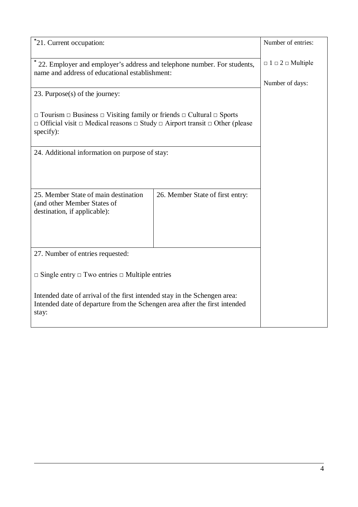| *21. Current occupation:                                                                                                                                                                                             |                                  | Number of entries:                |
|----------------------------------------------------------------------------------------------------------------------------------------------------------------------------------------------------------------------|----------------------------------|-----------------------------------|
| * 22. Employer and employer's address and telephone number. For students,<br>name and address of educational establishment:                                                                                          |                                  | $\Box$ 1 $\Box$ 2 $\Box$ Multiple |
|                                                                                                                                                                                                                      |                                  | Number of days:                   |
| 23. Purpose(s) of the journey:                                                                                                                                                                                       |                                  |                                   |
|                                                                                                                                                                                                                      |                                  |                                   |
| $\Box$ Tourism $\Box$ Business $\Box$ Visiting family or friends $\Box$ Cultural $\Box$ Sports<br>$\Box$ Official visit $\Box$ Medical reasons $\Box$ Study $\Box$ Airport transit $\Box$ Other (please<br>specify): |                                  |                                   |
| 24. Additional information on purpose of stay:                                                                                                                                                                       |                                  |                                   |
|                                                                                                                                                                                                                      |                                  |                                   |
|                                                                                                                                                                                                                      |                                  |                                   |
|                                                                                                                                                                                                                      |                                  |                                   |
| 25. Member State of main destination                                                                                                                                                                                 | 26. Member State of first entry: |                                   |
| (and other Member States of<br>destination, if applicable):                                                                                                                                                          |                                  |                                   |
|                                                                                                                                                                                                                      |                                  |                                   |
|                                                                                                                                                                                                                      |                                  |                                   |
|                                                                                                                                                                                                                      |                                  |                                   |
| 27. Number of entries requested:                                                                                                                                                                                     |                                  |                                   |
|                                                                                                                                                                                                                      |                                  |                                   |
| $\Box$ Single entry $\Box$ Two entries $\Box$ Multiple entries                                                                                                                                                       |                                  |                                   |
|                                                                                                                                                                                                                      |                                  |                                   |
| Intended date of arrival of the first intended stay in the Schengen area:<br>Intended date of departure from the Schengen area after the first intended<br>stay:                                                     |                                  |                                   |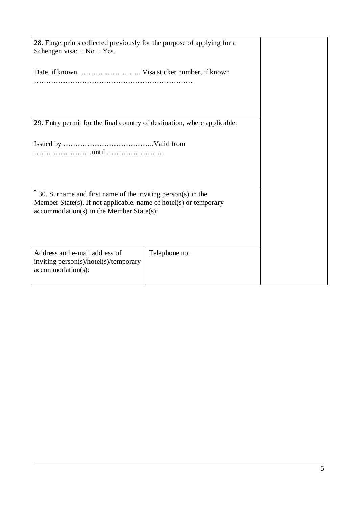| 28. Fingerprints collected previously for the purpose of applying for a<br>Schengen visa: $\Box$ No $\Box$ Yes.                                                                        |                |  |  |
|----------------------------------------------------------------------------------------------------------------------------------------------------------------------------------------|----------------|--|--|
|                                                                                                                                                                                        |                |  |  |
| 29. Entry permit for the final country of destination, where applicable:                                                                                                               |                |  |  |
|                                                                                                                                                                                        |                |  |  |
| $*$ 30. Surname and first name of the inviting person(s) in the<br>Member State(s). If not applicable, name of hotel(s) or temporary<br>$accommodation(s)$ in the Member State $(s)$ : |                |  |  |
| Address and e-mail address of<br>inviting person(s)/hotel(s)/temporary<br>$accommodation(s)$ :                                                                                         | Telephone no.: |  |  |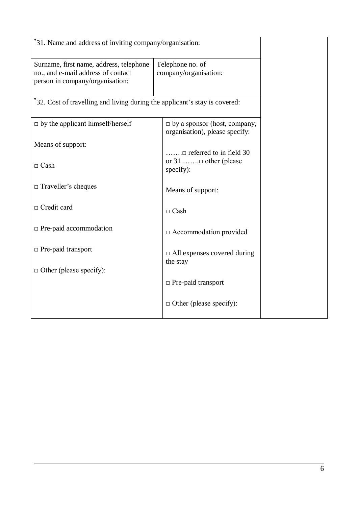| *31. Name and address of inviting company/organisation:                                                          |                                                                                     |  |
|------------------------------------------------------------------------------------------------------------------|-------------------------------------------------------------------------------------|--|
| Surname, first name, address, telephone<br>no., and e-mail address of contact<br>person in company/organisation: | Telephone no. of<br>company/organisation:                                           |  |
| *32. Cost of travelling and living during the applicant's stay is covered:                                       |                                                                                     |  |
| $\Box$ by the applicant himself/herself                                                                          | $\Box$ by a sponsor (host, company,<br>organisation), please specify:               |  |
| Means of support:                                                                                                |                                                                                     |  |
| $\Box$ Cash                                                                                                      | $\dots \dots \square$ referred to in field 30<br>or 31 □ other (please<br>specify): |  |
| $\Box$ Traveller's cheques                                                                                       | Means of support:                                                                   |  |
| $\Box$ Credit card                                                                                               | $\Box$ Cash                                                                         |  |
| □ Pre-paid accommodation                                                                                         | $\Box$ Accommodation provided                                                       |  |
| $\Box$ Pre-paid transport                                                                                        | $\Box$ All expenses covered during<br>the stay                                      |  |
| $\Box$ Other (please specify):                                                                                   |                                                                                     |  |
|                                                                                                                  | $\Box$ Pre-paid transport                                                           |  |
|                                                                                                                  | $\Box$ Other (please specify):                                                      |  |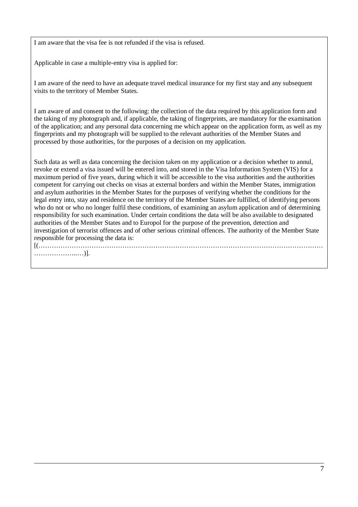I am aware that the visa fee is not refunded if the visa is refused.

Applicable in case a multiple-entry visa is applied for:

I am aware of the need to have an adequate travel medical insurance for my first stay and any subsequent visits to the territory of Member States.

I am aware of and consent to the following: the collection of the data required by this application form and the taking of my photograph and, if applicable, the taking of fingerprints, are mandatory for the examination of the application; and any personal data concerning me which appear on the application form, as well as my fingerprints and my photograph will be supplied to the relevant authorities of the Member States and processed by those authorities, for the purposes of a decision on my application.

Such data as well as data concerning the decision taken on my application or a decision whether to annul, revoke or extend a visa issued will be entered into, and stored in the Visa Information System (VIS) for a maximum period of five years, during which it will be accessible to the visa authorities and the authorities competent for carrying out checks on visas at external borders and within the Member States, immigration and asylum authorities in the Member States for the purposes of verifying whether the conditions for the legal entry into, stay and residence on the territory of the Member States are fulfilled, of identifying persons who do not or who no longer fulfil these conditions, of examining an asylum application and of determining responsibility for such examination. Under certain conditions the data will be also available to designated authorities of the Member States and to Europol for the purpose of the prevention, detection and investigation of terrorist offences and of other serious criminal offences. The authority of the Member State responsible for processing the data is: [(…………………………………………………………………………………………………………………

………………..…)].